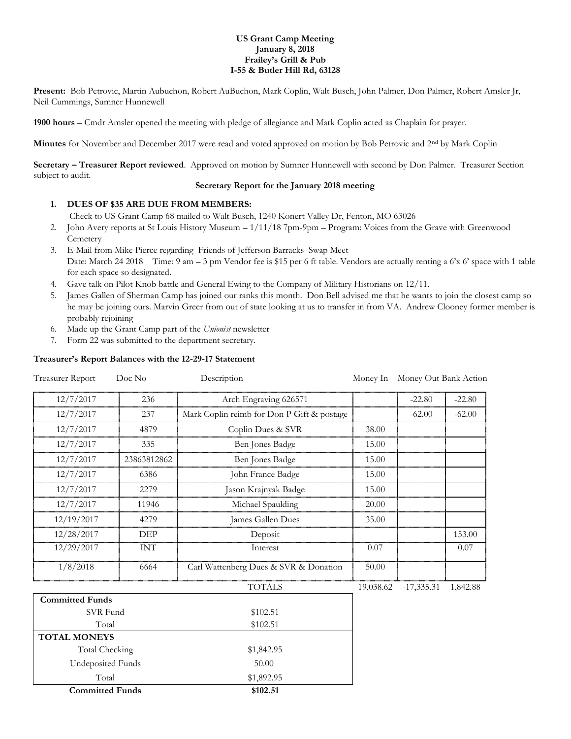### **US Grant Camp Meeting January 8, 2018 Frailey's Grill & Pub I-55 & Butler Hill Rd, 63128**

**Present:** Bob Petrovic, Martin Aubuchon, Robert AuBuchon, Mark Coplin, Walt Busch, John Palmer, Don Palmer, Robert Amsler Jr, Neil Cummings, Sumner Hunnewell

**1900 hours** – Cmdr Amsler opened the meeting with pledge of allegiance and Mark Coplin acted as Chaplain for prayer.

**Minutes** for November and December 2017 were read and voted approved on motion by Bob Petrovic and 2nd by Mark Coplin

**Secretary – Treasurer Report reviewed**. Approved on motion by Sumner Hunnewell with second by Don Palmer. Treasurer Section subject to audit.

# **Secretary Report for the January 2018 meeting**

## **1. DUES OF \$35 ARE DUE FROM MEMBERS:**

Check to US Grant Camp 68 mailed to Walt Busch, 1240 Konert Valley Dr, Fenton, MO 63026

- 2. John Avery reports at St Louis History Museum 1/11/18 7pm-9pm Program: Voices from the Grave with Greenwood **Cemetery**
- 3. E-Mail from Mike Pierce regarding Friends of Jefferson Barracks Swap Meet Date: March 24 2018 Time: 9 am – 3 pm Vendor fee is \$15 per 6 ft table. Vendors are actually renting a 6'x 6' space with 1 table for each space so designated.
- 4. Gave talk on Pilot Knob battle and General Ewing to the Company of Military Historians on 12/11.
- 5. James Gallen of Sherman Camp has joined our ranks this month. Don Bell advised me that he wants to join the closest camp so he may be joining ours. Marvin Greer from out of state looking at us to transfer in from VA. Andrew Clooney former member is probably rejoining
- 6. Made up the Grant Camp part of the *Unionist* newsletter
- 7. Form 22 was submitted to the department secretary.

### **Treasurer's Report Balances with the 12-29-17 Statement**

| <b>Treasurer Report</b> | Doc No      | Description                                | Money In  | Money Out Bank Action |          |
|-------------------------|-------------|--------------------------------------------|-----------|-----------------------|----------|
| 12/7/2017               | 236         | Arch Engraving 626571                      |           | $-22.80$              | $-22.80$ |
| 12/7/2017               | 237         | Mark Coplin reimb for Don P Gift & postage |           | $-62.00$              | $-62.00$ |
| 12/7/2017               | 4879        | Coplin Dues & SVR                          | 38.00     |                       |          |
| 12/7/2017               | 335         | Ben Jones Badge                            | 15.00     |                       |          |
| 12/7/2017               | 23863812862 | Ben Jones Badge                            | 15.00     |                       |          |
| 12/7/2017               | 6386        | John France Badge                          | 15.00     |                       |          |
| 12/7/2017               | 2279        | Jason Krajnyak Badge                       | 15.00     |                       |          |
| 12/7/2017               | 11946       | Michael Spaulding                          | 20.00     |                       |          |
| 12/19/2017              | 4279        | James Gallen Dues                          | 35.00     |                       |          |
| 12/28/2017              | DEP         | Deposit                                    |           |                       | 153.00   |
| 12/29/2017              | INT         | Interest                                   | 0.07      |                       | 0.07     |
| 1/8/2018                | 6664        | Carl Wattenberg Dues & SVR & Donation      | 50.00     |                       |          |
|                         |             | <b>TOTALS</b>                              | 19,038.62 | $-17,335.31$          | 1,842.88 |
| <b>Committed Funds</b>  |             |                                            |           |                       |          |

| <b>Committed Funds</b> | \$102.51   |  |
|------------------------|------------|--|
| Total                  | \$1,892.95 |  |
| Undeposited Funds      | 50.00      |  |
| Total Checking         | \$1,842.95 |  |
| <b>TOTAL MONEYS</b>    |            |  |
| Total                  | \$102.51   |  |
| SVR Fund               | \$102.51   |  |
| Committed Funds        |            |  |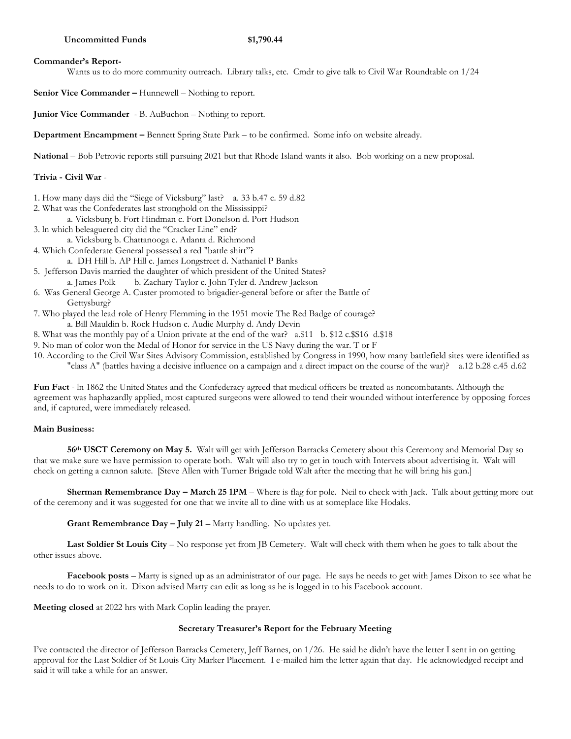### **Commander's Report-**

Wants us to do more community outreach. Library talks, etc. Cmdr to give talk to Civil War Roundtable on 1/24

**Senior Vice Commander –** Hunnewell – Nothing to report.

**Junior Vice Commander** - B. AuBuchon – Nothing to report.

**Department Encampment –** Bennett Spring State Park – to be confirmed. Some info on website already.

**National** – Bob Petrovic reports still pursuing 2021 but that Rhode Island wants it also. Bob working on a new proposal.

## **Trivia - Civil War** -

- 1. How many days did the "Siege of Vicksburg" last? a. 33 b.47 c. 59 d.82
- 2. What was the Confederates last stronghold on the Mississippi?
	- a. Vicksburg b. Fort Hindman c. Fort Donelson d. Port Hudson
- 3. ln which beleaguered city did the "Cracker Line" end?
- a. Vicksburg b. Chattanooga c. Atlanta d. Richmond
- 4. Which Confederate General possessed a red "battle shirt"?
	- a. DH Hill b. AP Hill c. James Longstreet d. Nathaniel P Banks
- 5. Jefferson Davis married the daughter of which president of the United States? a. James Polk b. Zachary Taylor c. John Tyler d. Andrew Jackson
- 6. Was General George A. Custer promoted to brigadier-general before or after the Battle of Gettysburg?
- 7. Who played the lead role of Henry Flemming in the 1951 movie The Red Badge of courage? a. Bill Mauldin b. Rock Hudson c. Audie Murphy d. Andy Devin
- 8. What was the monthly pay of a Union private at the end of the war? a.\$11 b. \$12 c.\$S16 d.\$18
- 9. No man of color won the Medal of Honor for service in the US Navy during the war. T or F
- 10. According to the Civil War Sites Advisory Commission, established by Congress in 1990, how many battlefield sites were identified as "class A" (battles having a decisive influence on a campaign and a direct impact on the course of the war)? a.12 b.28 c.45 d.62

**Fun Fact** - ln 1862 the United States and the Confederacy agreed that medical officers be treated as noncombatants. Although the agreement was haphazardly applied, most captured surgeons were allowed to tend their wounded without interference by opposing forces and, if captured, were immediately released.

## **Main Business:**

**56th USCT Ceremony on May 5.** Walt will get with Jefferson Barracks Cemetery about this Ceremony and Memorial Day so that we make sure we have permission to operate both. Walt will also try to get in touch with Intervets about advertising it. Walt will check on getting a cannon salute. [Steve Allen with Turner Brigade told Walt after the meeting that he will bring his gun.]

**Sherman Remembrance Day – March 25 1PM** – Where is flag for pole. Neil to check with Jack. Talk about getting more out of the ceremony and it was suggested for one that we invite all to dine with us at someplace like Hodaks.

**Grant Remembrance Day – July 21** – Marty handling. No updates yet.

Last Soldier St Louis City – No response yet from JB Cemetery. Walt will check with them when he goes to talk about the other issues above.

**Facebook posts** – Marty is signed up as an administrator of our page. He says he needs to get with James Dixon to see what he needs to do to work on it. Dixon advised Marty can edit as long as he is logged in to his Facebook account.

**Meeting closed** at 2022 hrs with Mark Coplin leading the prayer.

### **Secretary Treasurer's Report for the February Meeting**

I've contacted the director of Jefferson Barracks Cemetery, Jeff Barnes, on 1/26. He said he didn't have the letter I sent in on getting approval for the Last Soldier of St Louis City Marker Placement. I e-mailed him the letter again that day. He acknowledged receipt and said it will take a while for an answer.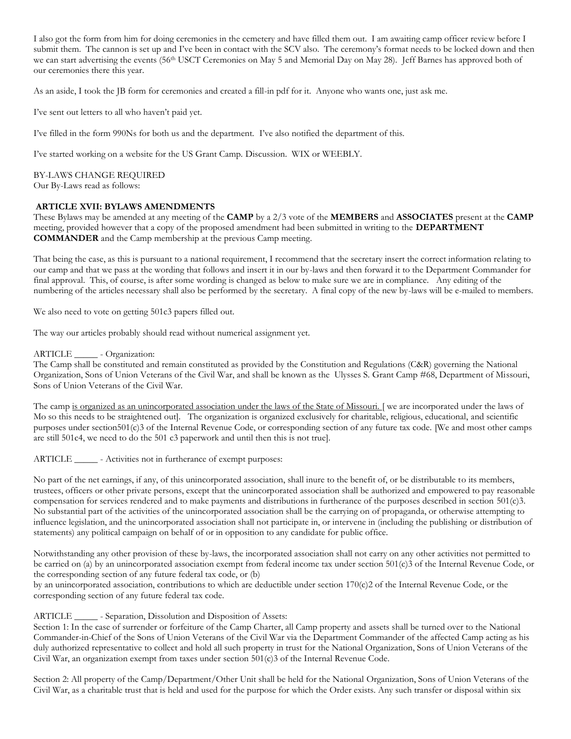I also got the form from him for doing ceremonies in the cemetery and have filled them out. I am awaiting camp officer review before I submit them. The cannon is set up and I've been in contact with the SCV also. The ceremony's format needs to be locked down and then we can start advertising the events (56<sup>th</sup> USCT Ceremonies on May 5 and Memorial Day on May 28). Jeff Barnes has approved both of our ceremonies there this year.

As an aside, I took the JB form for ceremonies and created a fill-in pdf for it. Anyone who wants one, just ask me.

I've sent out letters to all who haven't paid yet.

I've filled in the form 990Ns for both us and the department. I've also notified the department of this.

I've started working on a website for the US Grant Camp. Discussion. WIX or WEEBLY.

BY-LAWS CHANGE REQUIRED Our By-Laws read as follows:

### **ARTICLE XVII: BYLAWS AMENDMENTS**

These Bylaws may be amended at any meeting of the **CAMP** by a 2/3 vote of the **MEMBERS** and **ASSOCIATES** present at the **CAMP**  meeting, provided however that a copy of the proposed amendment had been submitted in writing to the **DEPARTMENT COMMANDER** and the Camp membership at the previous Camp meeting.

That being the case, as this is pursuant to a national requirement, I recommend that the secretary insert the correct information relating to our camp and that we pass at the wording that follows and insert it in our by-laws and then forward it to the Department Commander for final approval. This, of course, is after some wording is changed as below to make sure we are in compliance. Any editing of the numbering of the articles necessary shall also be performed by the secretary. A final copy of the new by-laws will be e-mailed to members.

We also need to vote on getting 501c3 papers filled out.

The way our articles probably should read without numerical assignment yet.

### ARTICLE \_\_\_\_\_ - Organization:

The Camp shall be constituted and remain constituted as provided by the Constitution and Regulations (C&R) governing the National Organization, Sons of Union Veterans of the Civil War, and shall be known as the Ulysses S. Grant Camp #68, Department of Missouri, Sons of Union Veterans of the Civil War.

The camp is organized as an unincorporated association under the laws of the State of Missouri. [ we are incorporated under the laws of Mo so this needs to be straightened out]. The organization is organized exclusively for charitable, religious, educational, and scientific purposes under section501(c)3 of the Internal Revenue Code, or corresponding section of any future tax code. [We and most other camps are still 501c4, we need to do the 501 c3 paperwork and until then this is not true].

ARTICLE \_\_\_\_\_\_ - Activities not in furtherance of exempt purposes:

No part of the net earnings, if any, of this unincorporated association, shall inure to the benefit of, or be distributable to its members, trustees, officers or other private persons, except that the unincorporated association shall be authorized and empowered to pay reasonable compensation for services rendered and to make payments and distributions in furtherance of the purposes described in section 501(c)3. No substantial part of the activities of the unincorporated association shall be the carrying on of propaganda, or otherwise attempting to influence legislation, and the unincorporated association shall not participate in, or intervene in (including the publishing or distribution of statements) any political campaign on behalf of or in opposition to any candidate for public office.

Notwithstanding any other provision of these by-laws, the incorporated association shall not carry on any other activities not permitted to be carried on (a) by an unincorporated association exempt from federal income tax under section 501(c)3 of the Internal Revenue Code, or the corresponding section of any future federal tax code, or (b)

by an unincorporated association, contributions to which are deductible under section 170(c)2 of the Internal Revenue Code, or the corresponding section of any future federal tax code.

# ARTICLE \_\_\_\_\_ - Separation, Dissolution and Disposition of Assets:

Section 1: In the case of surrender or forfeiture of the Camp Charter, all Camp property and assets shall be turned over to the National Commander-in-Chief of the Sons of Union Veterans of the Civil War via the Department Commander of the affected Camp acting as his duly authorized representative to collect and hold all such property in trust for the National Organization, Sons of Union Veterans of the Civil War, an organization exempt from taxes under section 501(c)3 of the Internal Revenue Code.

Section 2: All property of the Camp/Department/Other Unit shall be held for the National Organization, Sons of Union Veterans of the Civil War, as a charitable trust that is held and used for the purpose for which the Order exists. Any such transfer or disposal within six